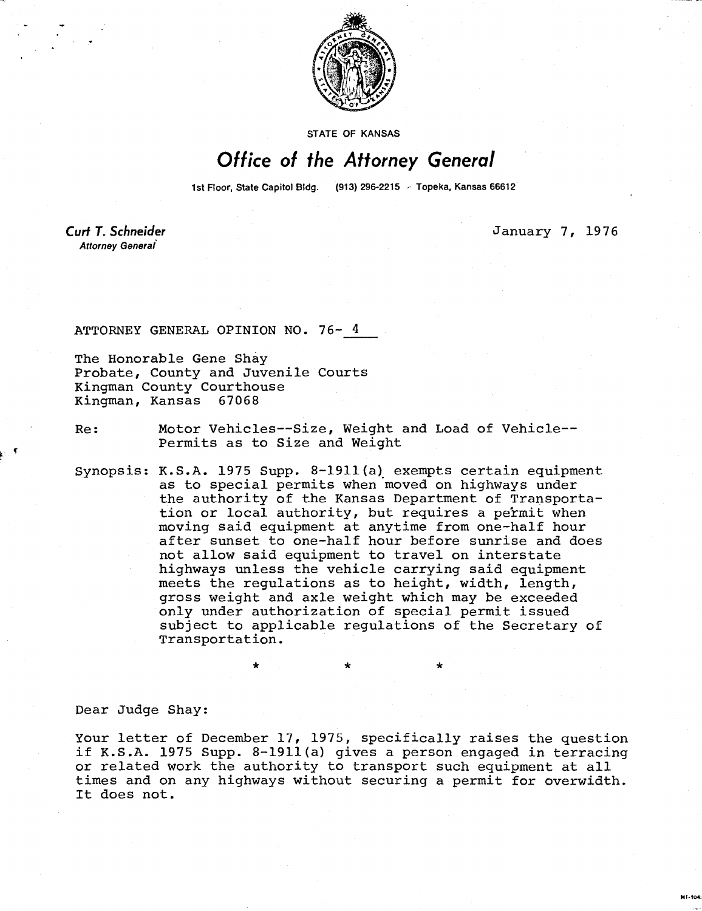

**STATE OF KANSAS** 

## Office of the Attorney General

1st Floor, State Capitol Bldg. (913) 296-2215 - Topeka, Kansas 66612

Curt T. Schneider Attorney General

January 7, 1976

ATTORNEY GENERAL OPINION NO. 76- 4

The Honorable Gene Shay Probate, County and Juvenile Courts Kingman County Courthouse Kingman, Kansas 67068

Re: Motor Vehicles--Size, Weight and Load of Vehicle-- Permits as to Size and Weight

Synopsis: K.S.A. 1975 Supp. 8-1911(a) exempts certain equipment as to special permits when moved on highways under the authority of the Kansas Department of Transportation or local authority, but requires a permit when moving said equipment at anytime from one-half hour after sunset to one-half hour before sunrise and does not allow said equipment to travel on interstate highways unless the vehicle carrying said equipment meets the regulations as to height, width, length, gross weight and axle weight which may be exceeded only under authorization of special permit issued subject to applicable regulations of the Secretary of Transportation.

Dear Judge Shay:

Your letter of December 17, 1975, specifically raises the question if K.S.A. 1975 Supp. 8-1911(a) gives a person engaged in terracing or related work the authority to transport such equipment at all times and on any highways without securing a permit for overwidth. It does not.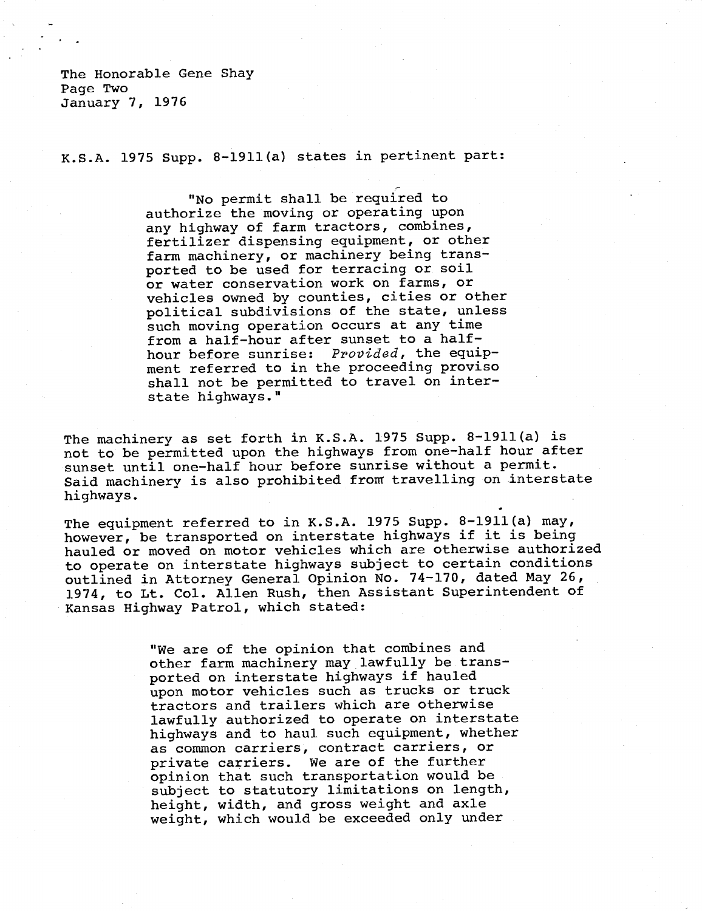The Honorable Gene Shay Page Two January 7, 1976

K.S.A. 1975 Supp. 8-1911(a) states in pertinent part:

"No permit shall be required to authorize the moving or operating upon any highway of farm tractors, combines, fertilizer dispensing equipment, or other farm machinery, or machinery being transported to be used for terracing or soil or water conservation work on farms, or vehicles owned by counties, cities or other political subdivisions of the state, unless such moving operation occurs at any time from a half-hour after sunset to a halfhour before sunrise: Provided, the equipment referred to in the proceeding proviso shall not be permitted to travel on interstate highways."

The machinery as set forth in K.S.A. 1975 Supp. 8-1911(a) is not to be permitted upon the highways from one-half hour after sunset until one-half hour before sunrise without a permit. Said machinery is also prohibited from travelling on interstate highways.

The equipment referred to in K.S.A. 1975 Supp. 8-1911(a) may, however, be transported on interstate highways if it is being hauled or moved on motor vehicles which are otherwise authorized to operate on interstate highways subject to certain conditions outlined in Attorney General Opinion No. 74-170, dated May 26, 1974, to Lt. Col. Allen Rush, then Assistant Superintendent of Kansas Highway Patrol, which stated:

> "We are of the opinion that combines and other farm machinery may lawfully be transported on interstate highways if hauled upon motor vehicles such as trucks or truck tractors and trailers which are otherwise lawfully authorized to operate on interstate highways and to haul such equipment, whether as common carriers, contract carriers, or private carriers. We are of the further opinion that such transportation would be subject to statutory limitations on length, height, width, and gross weight and axle weight, which would be exceeded only under